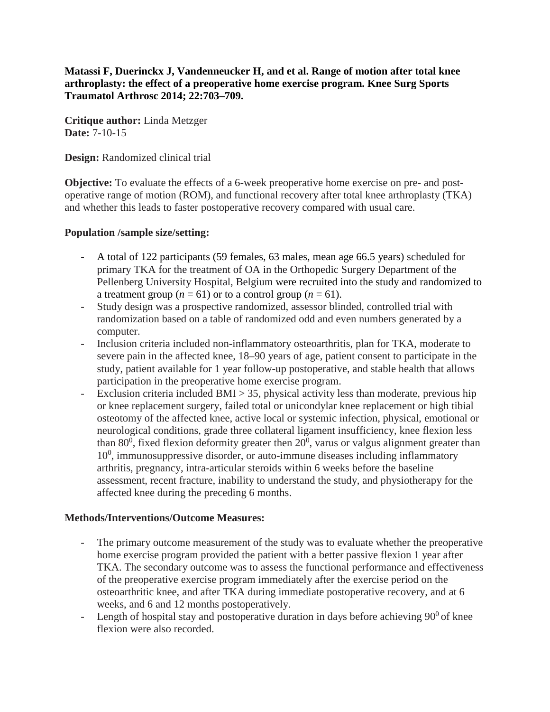**Matassi F, Duerinckx J, Vandenneucker H, and et al. Range of motion after total knee arthroplasty: the effect of a preoperative home exercise program. Knee Surg Sports Traumatol Arthrosc 2014; 22:703–709.**

**Critique author:** Linda Metzger **Date:** 7-10-15

**Design:** Randomized clinical trial

**Objective:** To evaluate the effects of a 6-week preoperative home exercise on pre- and postoperative range of motion (ROM), and functional recovery after total knee arthroplasty (TKA) and whether this leads to faster postoperative recovery compared with usual care.

#### **Population /sample size/setting:**

- A total of 122 participants (59 females, 63 males, mean age 66.5 years) scheduled for primary TKA for the treatment of OA in the Orthopedic Surgery Department of the Pellenberg University Hospital, Belgium were recruited into the study and randomized to a treatment group ( $n = 61$ ) or to a control group ( $n = 61$ ).
- Study design was a prospective randomized, assessor blinded, controlled trial with randomization based on a table of randomized odd and even numbers generated by a computer.
- Inclusion criteria included non-inflammatory osteoarthritis, plan for TKA, moderate to severe pain in the affected knee, 18–90 years of age, patient consent to participate in the study, patient available for 1 year follow-up postoperative, and stable health that allows participation in the preoperative home exercise program.
- Exclusion criteria included  $BMI > 35$ , physical activity less than moderate, previous hip or knee replacement surgery, failed total or unicondylar knee replacement or high tibial osteotomy of the affected knee, active local or systemic infection, physical, emotional or neurological conditions, grade three collateral ligament insufficiency, knee flexion less than 80<sup>0</sup>, fixed flexion deformity greater then  $20^0$ , varus or valgus alignment greater than 10<sup>0</sup>, immunosuppressive disorder, or auto-immune diseases including inflammatory arthritis, pregnancy, intra-articular steroids within 6 weeks before the baseline assessment, recent fracture, inability to understand the study, and physiotherapy for the affected knee during the preceding 6 months.

## **Methods/Interventions/Outcome Measures:**

- The primary outcome measurement of the study was to evaluate whether the preoperative home exercise program provided the patient with a better passive flexion 1 year after TKA. The secondary outcome was to assess the functional performance and effectiveness of the preoperative exercise program immediately after the exercise period on the osteoarthritic knee, and after TKA during immediate postoperative recovery, and at 6 weeks, and 6 and 12 months postoperatively.
- Length of hospital stay and postoperative duration in days before achieving  $90^0$  of knee flexion were also recorded.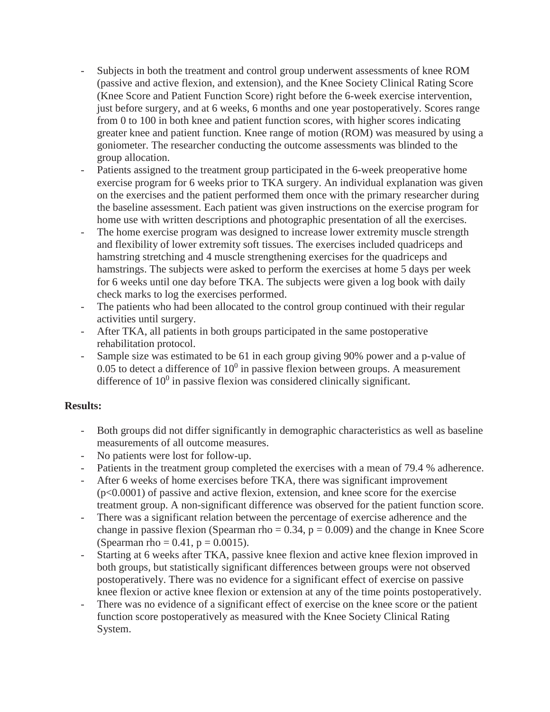- Subjects in both the treatment and control group underwent assessments of knee ROM (passive and active flexion, and extension), and the Knee Society Clinical Rating Score (Knee Score and Patient Function Score) right before the 6-week exercise intervention, just before surgery, and at 6 weeks, 6 months and one year postoperatively. Scores range from 0 to 100 in both knee and patient function scores, with higher scores indicating greater knee and patient function. Knee range of motion (ROM) was measured by using a goniometer. The researcher conducting the outcome assessments was blinded to the group allocation.
- Patients assigned to the treatment group participated in the 6-week preoperative home exercise program for 6 weeks prior to TKA surgery. An individual explanation was given on the exercises and the patient performed them once with the primary researcher during the baseline assessment. Each patient was given instructions on the exercise program for home use with written descriptions and photographic presentation of all the exercises.
- The home exercise program was designed to increase lower extremity muscle strength and flexibility of lower extremity soft tissues. The exercises included quadriceps and hamstring stretching and 4 muscle strengthening exercises for the quadriceps and hamstrings. The subjects were asked to perform the exercises at home 5 days per week for 6 weeks until one day before TKA. The subjects were given a log book with daily check marks to log the exercises performed.
- The patients who had been allocated to the control group continued with their regular activities until surgery.
- After TKA, all patients in both groups participated in the same postoperative rehabilitation protocol.
- Sample size was estimated to be 61 in each group giving 90% power and a p-value of  $0.05$  to detect a difference of  $10<sup>0</sup>$  in passive flexion between groups. A measurement difference of  $10<sup>0</sup>$  in passive flexion was considered clinically significant.

## **Results:**

- Both groups did not differ significantly in demographic characteristics as well as baseline measurements of all outcome measures.
- No patients were lost for follow-up.
- Patients in the treatment group completed the exercises with a mean of 79.4 % adherence.
- After 6 weeks of home exercises before TKA, there was significant improvement (p<0.0001) of passive and active flexion, extension, and knee score for the exercise treatment group. A non-significant difference was observed for the patient function score.
- There was a significant relation between the percentage of exercise adherence and the change in passive flexion (Spearman rho  $= 0.34$ ,  $p = 0.009$ ) and the change in Knee Score (Spearman rho =  $0.41$ , p =  $0.0015$ ).
- Starting at 6 weeks after TKA, passive knee flexion and active knee flexion improved in both groups, but statistically significant differences between groups were not observed postoperatively. There was no evidence for a significant effect of exercise on passive knee flexion or active knee flexion or extension at any of the time points postoperatively.
- There was no evidence of a significant effect of exercise on the knee score or the patient function score postoperatively as measured with the Knee Society Clinical Rating System.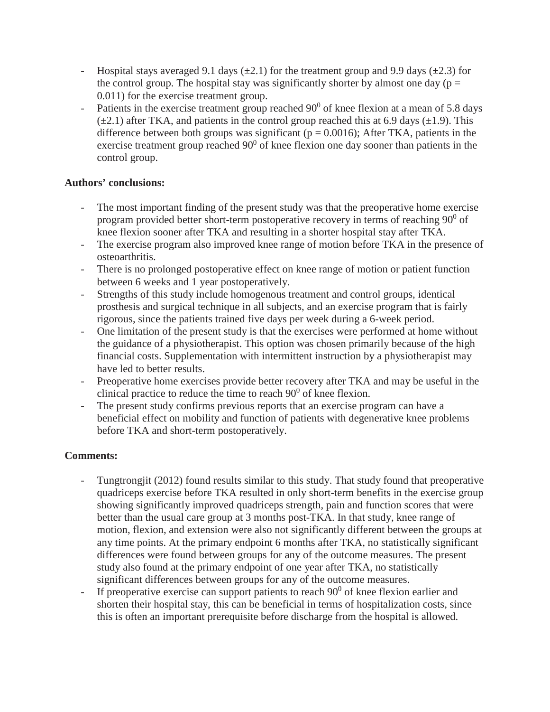- Hospital stays averaged 9.1 days ( $\pm$ 2.1) for the treatment group and 9.9 days ( $\pm$ 2.3) for the control group. The hospital stay was significantly shorter by almost one day ( $p =$ 0.011) for the exercise treatment group.
- Patients in the exercise treatment group reached  $90^{\circ}$  of knee flexion at a mean of 5.8 days  $(\pm 2.1)$  after TKA, and patients in the control group reached this at 6.9 days ( $\pm 1.9$ ). This difference between both groups was significant ( $p = 0.0016$ ); After TKA, patients in the exercise treatment group reached  $90^0$  of knee flexion one day sooner than patients in the control group.

## **Authors' conclusions:**

- The most important finding of the present study was that the preoperative home exercise program provided better short-term postoperative recovery in terms of reaching  $90^{\circ}$  of knee flexion sooner after TKA and resulting in a shorter hospital stay after TKA.
- The exercise program also improved knee range of motion before TKA in the presence of osteoarthritis.
- There is no prolonged postoperative effect on knee range of motion or patient function between 6 weeks and 1 year postoperatively.
- Strengths of this study include homogenous treatment and control groups, identical prosthesis and surgical technique in all subjects, and an exercise program that is fairly rigorous, since the patients trained five days per week during a 6-week period.
- One limitation of the present study is that the exercises were performed at home without the guidance of a physiotherapist. This option was chosen primarily because of the high financial costs. Supplementation with intermittent instruction by a physiotherapist may have led to better results.
- Preoperative home exercises provide better recovery after TKA and may be useful in the clinical practice to reduce the time to reach  $90^{\circ}$  of knee flexion.
- The present study confirms previous reports that an exercise program can have a beneficial effect on mobility and function of patients with degenerative knee problems before TKA and short-term postoperatively.

# **Comments:**

- Tungtrongjit (2012) found results similar to this study. That study found that preoperative quadriceps exercise before TKA resulted in only short-term benefits in the exercise group showing significantly improved quadriceps strength, pain and function scores that were better than the usual care group at 3 months post-TKA. In that study, knee range of motion, flexion, and extension were also not significantly different between the groups at any time points. At the primary endpoint 6 months after TKA, no statistically significant differences were found between groups for any of the outcome measures. The present study also found at the primary endpoint of one year after TKA, no statistically significant differences between groups for any of the outcome measures.
- If preoperative exercise can support patients to reach  $90^0$  of knee flexion earlier and shorten their hospital stay, this can be beneficial in terms of hospitalization costs, since this is often an important prerequisite before discharge from the hospital is allowed.